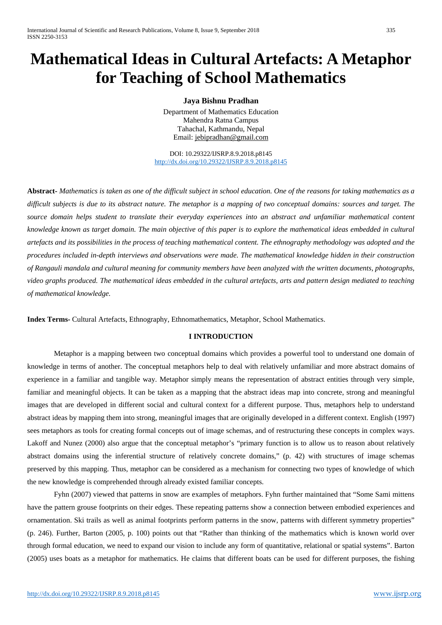# **Mathematical Ideas in Cultural Artefacts: A Metaphor for Teaching of School Mathematics**

# **Jaya Bishnu Pradhan**

Department of Mathematics Education Mahendra Ratna Campus Tahachal, Kathmandu, Nepal Email: [jebipradhan@gmail.com](mailto:jebipradhan@gmail.com)

DOI: 10.29322/IJSRP.8.9.2018.p8145 <http://dx.doi.org/10.29322/IJSRP.8.9.2018.p8145>

**Abstract-** *Mathematics is taken as one of the difficult subject in school education. One of the reasons for taking mathematics as a difficult subjects is due to its abstract nature. The metaphor is a mapping of two conceptual domains: sources and target. The source domain helps student to translate their everyday experiences into an abstract and unfamiliar mathematical content knowledge known as target domain. The main objective of this paper is to explore the mathematical ideas embedded in cultural artefacts and its possibilities in the process of teaching mathematical content. The ethnography methodology was adopted and the procedures included in-depth interviews and observations were made. The mathematical knowledge hidden in their construction of Rangauli mandala and cultural meaning for community members have been analyzed with the written documents, photographs, video graphs produced. The mathematical ideas embedded in the cultural artefacts, arts and pattern design mediated to teaching of mathematical knowledge.*

**Index Terms-** Cultural Artefacts, Ethnography, Ethnomathematics, Metaphor, School Mathematics.

# **I INTRODUCTION**

Metaphor is a mapping between two conceptual domains which provides a powerful tool to understand one domain of knowledge in terms of another. The conceptual metaphors help to deal with relatively unfamiliar and more abstract domains of experience in a familiar and tangible way. Metaphor simply means the representation of abstract entities through very simple, familiar and meaningful objects. It can be taken as a mapping that the abstract ideas map into concrete, strong and meaningful images that are developed in different social and cultural context for a different purpose. Thus, metaphors help to understand abstract ideas by mapping them into strong, meaningful images that are originally developed in a different context. English (1997) sees metaphors as tools for creating formal concepts out of image schemas, and of restructuring these concepts in complex ways. Lakoff and Nunez (2000) also argue that the conceptual metaphor's "primary function is to allow us to reason about relatively abstract domains using the inferential structure of relatively concrete domains," (p. 42) with structures of image schemas preserved by this mapping. Thus, metaphor can be considered as a mechanism for connecting two types of knowledge of which the new knowledge is comprehended through already existed familiar concepts.

Fyhn (2007) viewed that patterns in snow are examples of metaphors. Fyhn further maintained that "Some Sami mittens have the pattern grouse footprints on their edges. These repeating patterns show a connection between embodied experiences and ornamentation. Ski trails as well as animal footprints perform patterns in the snow, patterns with different symmetry properties" (p. 246). Further, Barton (2005, p. 100) points out that "Rather than thinking of the mathematics which is known world over through formal education, we need to expand our vision to include any form of quantitative, relational or spatial systems". Barton (2005) uses boats as a metaphor for mathematics. He claims that different boats can be used for different purposes, the fishing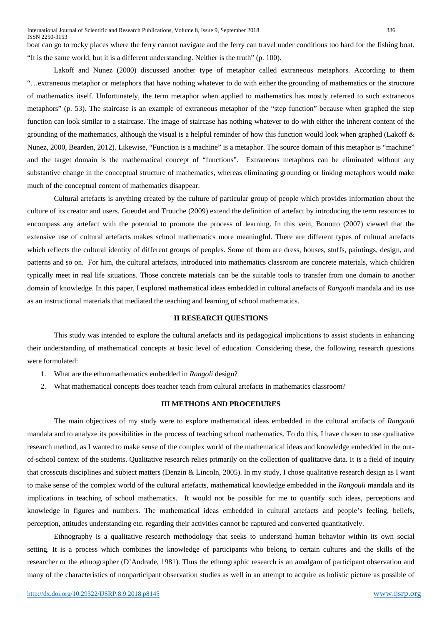boat can go to rocky places where the ferry cannot navigate and the ferry can travel under conditions too hard for the fishing boat. "It is the same world, but it is a different understanding. Neither is the truth" (p. 100).

Lakoff and Nunez (2000) discussed another type of metaphor called extraneous metaphors. According to them "…extraneous metaphor or metaphors that have nothing whatever to do with either the grounding of mathematics or the structure of mathematics itself. Unfortunately, the term metaphor when applied to mathematics has mostly referred to such extraneous metaphors" (p. 53). The staircase is an example of extraneous metaphor of the "step function" because when graphed the step function can look similar to a staircase. The image of staircase has nothing whatever to do with either the inherent content of the grounding of the mathematics, although the visual is a helpful reminder of how this function would look when graphed (Lakoff & Nunez, 2000, Bearden, 2012). Likewise, "Function is a machine" is a metaphor. The source domain of this metaphor is "machine" and the target domain is the mathematical concept of "functions". Extraneous metaphors can be eliminated without any substantive change in the conceptual structure of mathematics, whereas eliminating grounding or linking metaphors would make much of the conceptual content of mathematics disappear.

Cultural artefacts is anything created by the culture of particular group of people which provides information about the culture of its creator and users. Gueudet and Trouche (2009) extend the definition of artefact by introducing the term resources to encompass any artefact with the potential to promote the process of learning. In this vein, Bonotto (2007) viewed that the extensive use of cultural artefacts makes school mathematics more meaningful. There are different types of cultural artefacts which reflects the cultural identity of different groups of peoples. Some of them are dress, houses, stuffs, paintings, design, and patterns and so on. For him, the cultural artefacts, introduced into mathematics classroom are concrete materials, which children typically meet in real life situations. Those concrete materials can be the suitable tools to transfer from one domain to another domain of knowledge. In this paper, I explored mathematical ideas embedded in cultural artefacts of *Rangouli* mandala and its use as an instructional materials that mediated the teaching and learning of school mathematics.

#### **II RESEARCH QUESTIONS**

This study was intended to explore the cultural artefacts and its pedagogical implications to assist students in enhancing their understanding of mathematical concepts at basic level of education. Considering these, the following research questions were formulated:

- 1. What are the ethnomathematics embedded in *Rangoli* design?
- 2. What mathematical concepts does teacher teach from cultural artefacts in mathematics classroom?

## **III METHODS AND PROCEDURES**

The main objectives of my study were to explore mathematical ideas embedded in the cultural artifacts of *Rangouli*  mandala and to analyze its possibilities in the process of teaching school mathematics. To do this, I have chosen to use qualitative research method, as I wanted to make sense of the complex world of the mathematical ideas and knowledge embedded in the outof-school context of the students. Qualitative research relies primarily on the collection of qualitative data. It is a field of inquiry that crosscuts disciplines and subject matters (Denzin & Lincoln, 2005). In my study, I chose qualitative research design as I want to make sense of the complex world of the cultural artefacts, mathematical knowledge embedded in the *Rangouli* mandala and its implications in teaching of school mathematics. It would not be possible for me to quantify such ideas, perceptions and knowledge in figures and numbers. The mathematical ideas embedded in cultural artefacts and people's feeling, beliefs, perception, attitudes understanding etc. regarding their activities cannot be captured and converted quantitatively.

Ethnography is a qualitative research methodology that seeks to understand human behavior within its own social setting. It is a process which combines the knowledge of participants who belong to certain cultures and the skills of the researcher or the ethnographer (D'Andrade, 1981). Thus the ethnographic research is an amalgam of participant observation and many of the characteristics of nonparticipant observation studies as well in an attempt to acquire as holistic picture as possible of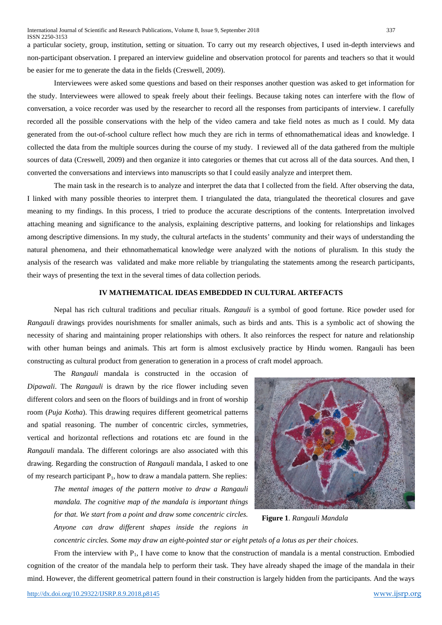a particular society, group, institution, setting or situation. To carry out my research objectives, I used in-depth interviews and non-participant observation. I prepared an interview guideline and observation protocol for parents and teachers so that it would be easier for me to generate the data in the fields (Creswell, 2009).

Interviewees were asked some questions and based on their responses another question was asked to get information for the study. Interviewees were allowed to speak freely about their feelings. Because taking notes can interfere with the flow of conversation, a voice recorder was used by the researcher to record all the responses from participants of interview. I carefully recorded all the possible conservations with the help of the video camera and take field notes as much as I could. My data generated from the out-of-school culture reflect how much they are rich in terms of ethnomathematical ideas and knowledge. I collected the data from the multiple sources during the course of my study. I reviewed all of the data gathered from the multiple sources of data (Creswell, 2009) and then organize it into categories or themes that cut across all of the data sources. And then, I converted the conversations and interviews into manuscripts so that I could easily analyze and interpret them.

The main task in the research is to analyze and interpret the data that I collected from the field. After observing the data, I linked with many possible theories to interpret them. I triangulated the data, triangulated the theoretical closures and gave meaning to my findings. In this process, I tried to produce the accurate descriptions of the contents. Interpretation involved attaching meaning and significance to the analysis, explaining descriptive patterns, and looking for relationships and linkages among descriptive dimensions. In my study, the cultural artefacts in the students' community and their ways of understanding the natural phenomena, and their ethnomathematical knowledge were analyzed with the notions of pluralism. In this study the analysis of the research was validated and make more reliable by triangulating the statements among the research participants, their ways of presenting the text in the several times of data collection periods.

### **IV MATHEMATICAL IDEAS EMBEDDED IN CULTURAL ARTEFACTS**

Nepal has rich cultural traditions and peculiar rituals. *Rangauli* is a symbol of good fortune. Rice powder used for *Rangauli* drawings provides nourishments for smaller animals, such as birds and ants. This is a symbolic act of showing the necessity of sharing and maintaining proper relationships with others. It also reinforces the respect for nature and relationship with other human beings and animals. This art form is almost exclusively practice by Hindu women. Rangauli has been constructing as cultural product from generation to generation in a process of craft model approach.

The *Rangauli* mandala is constructed in the occasion of *Dipawali*. The *Rangauli* is drawn by the rice flower including seven different colors and seen on the floors of buildings and in front of worship room (*Puja Kotha*). This drawing requires different geometrical patterns and spatial reasoning. The number of concentric circles, symmetries, vertical and horizontal reflections and rotations etc are found in the *Rangauli* mandala. The different colorings are also associated with this drawing. Regarding the construction of *Rangauli* mandala, I asked to one of my research participant  $P_1$ , how to draw a mandala pattern. She replies:

> *The mental images of the pattern motive to draw a Rangauli mandala. The cognitive map of the mandala is important things for that. We start from a point and draw some concentric circles. Anyone can draw different shapes inside the regions in*



**Figure 1**. *Rangauli Mandala*

*concentric circles. Some may draw an eight-pointed star or eight petals of a lotus as per their choices.* 

From the interview with  $P_1$ , I have come to know that the construction of mandala is a mental construction. Embodied cognition of the creator of the mandala help to perform their task. They have already shaped the image of the mandala in their mind. However, the different geometrical pattern found in their construction is largely hidden from the participants. And the ways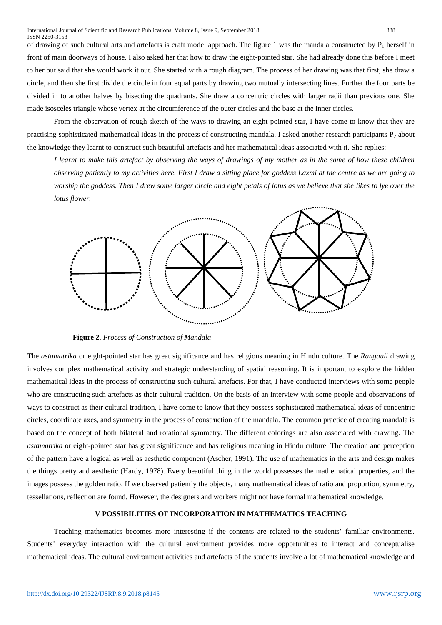of drawing of such cultural arts and artefacts is craft model approach. The figure 1 was the mandala constructed by  $P_1$  herself in front of main doorways of house. I also asked her that how to draw the eight-pointed star. She had already done this before I meet to her but said that she would work it out. She started with a rough diagram. The process of her drawing was that first, she draw a circle, and then she first divide the circle in four equal parts by drawing two mutually intersecting lines. Further the four parts be divided in to another halves by bisecting the quadrants. She draw a concentric circles with larger radii than previous one. She made isosceles triangle whose vertex at the circumference of the outer circles and the base at the inner circles.

From the observation of rough sketch of the ways to drawing an eight-pointed star, I have come to know that they are practising sophisticated mathematical ideas in the process of constructing mandala. I asked another research participants  $P_2$  about the knowledge they learnt to construct such beautiful artefacts and her mathematical ideas associated with it. She replies:

*I learnt to make this artefact by observing the ways of drawings of my mother as in the same of how these children observing patiently to my activities here. First I draw a sitting place for goddess Laxmi at the centre as we are going to worship the goddess. Then I drew some larger circle and eight petals of lotus as we believe that she likes to lye over the lotus flower.* 



**Figure 2**. *Process of Construction of Mandala*

The *astamatrika* or eight-pointed star has great significance and has religious meaning in Hindu culture. The *Rangauli* drawing involves complex mathematical activity and strategic understanding of spatial reasoning. It is important to explore the hidden mathematical ideas in the process of constructing such cultural artefacts. For that, I have conducted interviews with some people who are constructing such artefacts as their cultural tradition. On the basis of an interview with some people and observations of ways to construct as their cultural tradition, I have come to know that they possess sophisticated mathematical ideas of concentric circles, coordinate axes, and symmetry in the process of construction of the mandala. The common practice of creating mandala is based on the concept of both bilateral and rotational symmetry. The different colorings are also associated with drawing. The *astamatrika* or eight-pointed star has great significance and has religious meaning in Hindu culture. The creation and perception of the pattern have a logical as well as aesthetic component (Ascher, 1991). The use of mathematics in the arts and design makes the things pretty and aesthetic (Hardy, 1978). Every beautiful thing in the world possesses the mathematical properties, and the images possess the golden ratio. If we observed patiently the objects, many mathematical ideas of ratio and proportion, symmetry, tessellations, reflection are found. However, the designers and workers might not have formal mathematical knowledge.

#### **V POSSIBILITIES OF INCORPORATION IN MATHEMATICS TEACHING**

Teaching mathematics becomes more interesting if the contents are related to the students' familiar environments. Students' everyday interaction with the cultural environment provides more opportunities to interact and conceptualise mathematical ideas. The cultural environment activities and artefacts of the students involve a lot of mathematical knowledge and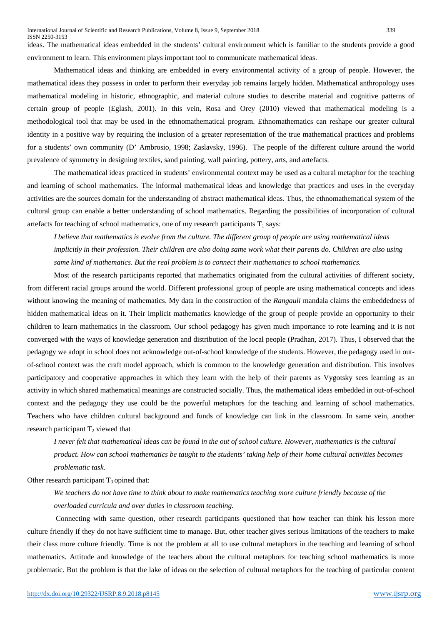ideas. The mathematical ideas embedded in the students' cultural environment which is familiar to the students provide a good environment to learn. This environment plays important tool to communicate mathematical ideas.

Mathematical ideas and thinking are embedded in every environmental activity of a group of people. However, the mathematical ideas they possess in order to perform their everyday job remains largely hidden. Mathematical anthropology uses mathematical modeling in historic, ethnographic, and material culture studies to describe material and cognitive patterns of certain group of people (Eglash, 2001). In this vein, Rosa and Orey (2010) viewed that mathematical modeling is a methodological tool that may be used in the ethnomathematical program. Ethnomathematics can reshape our greater cultural identity in a positive way by requiring the inclusion of a greater representation of the true mathematical practices and problems for a students' own community (D' Ambrosio, 1998; Zaslavsky, 1996). The people of the different culture around the world prevalence of symmetry in designing textiles, sand painting, wall painting, pottery, arts, and artefacts.

The mathematical ideas practiced in students' environmental context may be used as a cultural metaphor for the teaching and learning of school mathematics. The informal mathematical ideas and knowledge that practices and uses in the everyday activities are the sources domain for the understanding of abstract mathematical ideas. Thus, the ethnomathematical system of the cultural group can enable a better understanding of school mathematics. Regarding the possibilities of incorporation of cultural artefacts for teaching of school mathematics, one of my research participants  $T_1$  says:

*I believe that mathematics is evolve from the culture. The different group of people are using mathematical ideas implicitly in their profession. Their children are also doing same work what their parents do. Children are also using same kind of mathematics. But the real problem is to connect their mathematics to school mathematics.* 

Most of the research participants reported that mathematics originated from the cultural activities of different society, from different racial groups around the world. Different professional group of people are using mathematical concepts and ideas without knowing the meaning of mathematics. My data in the construction of the *Rangauli* mandala claims the embeddedness of hidden mathematical ideas on it. Their implicit mathematics knowledge of the group of people provide an opportunity to their children to learn mathematics in the classroom. Our school pedagogy has given much importance to rote learning and it is not converged with the ways of knowledge generation and distribution of the local people (Pradhan, 2017). Thus, I observed that the pedagogy we adopt in school does not acknowledge out-of-school knowledge of the students. However, the pedagogy used in outof-school context was the craft model approach, which is common to the knowledge generation and distribution. This involves participatory and cooperative approaches in which they learn with the help of their parents as Vygotsky sees learning as an activity in which shared mathematical meanings are constructed socially. Thus, the mathematical ideas embedded in out-of-school context and the pedagogy they use could be the powerful metaphors for the teaching and learning of school mathematics. Teachers who have children cultural background and funds of knowledge can link in the classroom. In same vein, another research participant  $T_2$  viewed that

*I never felt that mathematical ideas can be found in the out of school culture. However, mathematics is the cultural product. How can school mathematics be taught to the students' taking help of their home cultural activities becomes problematic task.* 

Other research participant  $T_3$  opined that:

*We teachers do not have time to think about to make mathematics teaching more culture friendly because of the overloaded curricula and over duties in classroom teaching.*

Connecting with same question, other research participants questioned that how teacher can think his lesson more culture friendly if they do not have sufficient time to manage. But, other teacher gives serious limitations of the teachers to make their class more culture friendly. Time is not the problem at all to use cultural metaphors in the teaching and learning of school mathematics. Attitude and knowledge of the teachers about the cultural metaphors for teaching school mathematics is more problematic. But the problem is that the lake of ideas on the selection of cultural metaphors for the teaching of particular content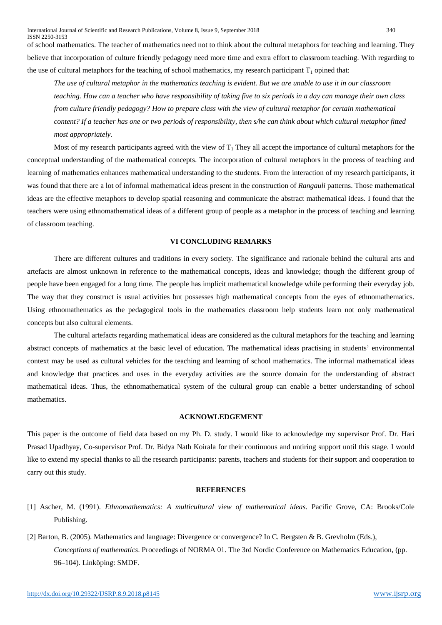International Journal of Scientific and Research Publications, Volume 8, Issue 9, September 2018 340 ISSN 2250-3153 of school mathematics. The teacher of mathematics need not to think about the cultural metaphors for teaching and learning. They believe that incorporation of culture friendly pedagogy need more time and extra effort to classroom teaching. With regarding to

the use of cultural metaphors for the teaching of school mathematics, my research participant  $T_1$  opined that:

*The use of cultural metaphor in the mathematics teaching is evident. But we are unable to use it in our classroom teaching. How can a teacher who have responsibility of taking five to six periods in a day can manage their own class from culture friendly pedagogy? How to prepare class with the view of cultural metaphor for certain mathematical content? If a teacher has one or two periods of responsibility, then s/he can think about which cultural metaphor fitted most appropriately.* 

Most of my research participants agreed with the view of  $T_1$  They all accept the importance of cultural metaphors for the conceptual understanding of the mathematical concepts. The incorporation of cultural metaphors in the process of teaching and learning of mathematics enhances mathematical understanding to the students. From the interaction of my research participants, it was found that there are a lot of informal mathematical ideas present in the construction of *Rangauli* patterns. Those mathematical ideas are the effective metaphors to develop spatial reasoning and communicate the abstract mathematical ideas. I found that the teachers were using ethnomathematical ideas of a different group of people as a metaphor in the process of teaching and learning of classroom teaching.

## **VI CONCLUDING REMARKS**

There are different cultures and traditions in every society. The significance and rationale behind the cultural arts and artefacts are almost unknown in reference to the mathematical concepts, ideas and knowledge; though the different group of people have been engaged for a long time. The people has implicit mathematical knowledge while performing their everyday job. The way that they construct is usual activities but possesses high mathematical concepts from the eyes of ethnomathematics. Using ethnomathematics as the pedagogical tools in the mathematics classroom help students learn not only mathematical concepts but also cultural elements.

The cultural artefacts regarding mathematical ideas are considered as the cultural metaphors for the teaching and learning abstract concepts of mathematics at the basic level of education. The mathematical ideas practising in students' environmental context may be used as cultural vehicles for the teaching and learning of school mathematics. The informal mathematical ideas and knowledge that practices and uses in the everyday activities are the source domain for the understanding of abstract mathematical ideas. Thus, the ethnomathematical system of the cultural group can enable a better understanding of school mathematics.

#### **ACKNOWLEDGEMENT**

This paper is the outcome of field data based on my Ph. D. study. I would like to acknowledge my supervisor Prof. Dr. Hari Prasad Upadhyay, Co-supervisor Prof. Dr. Bidya Nath Koirala for their continuous and untiring support until this stage. I would like to extend my special thanks to all the research participants: parents, teachers and students for their support and cooperation to carry out this study.

#### **REFERENCES**

- [1] Ascher, M. (1991). *Ethnomathematics: A multicultural view of mathematical ideas.* Pacific Grove, CA: Brooks/Cole Publishing.
- [2] Barton, B. (2005). Mathematics and language: Divergence or convergence? In C. Bergsten & B. Grevholm (Eds.), *Conceptions of mathematics*. Proceedings of NORMA 01. The 3rd Nordic Conference on Mathematics Education, (pp. 96–104). Linköping: SMDF.